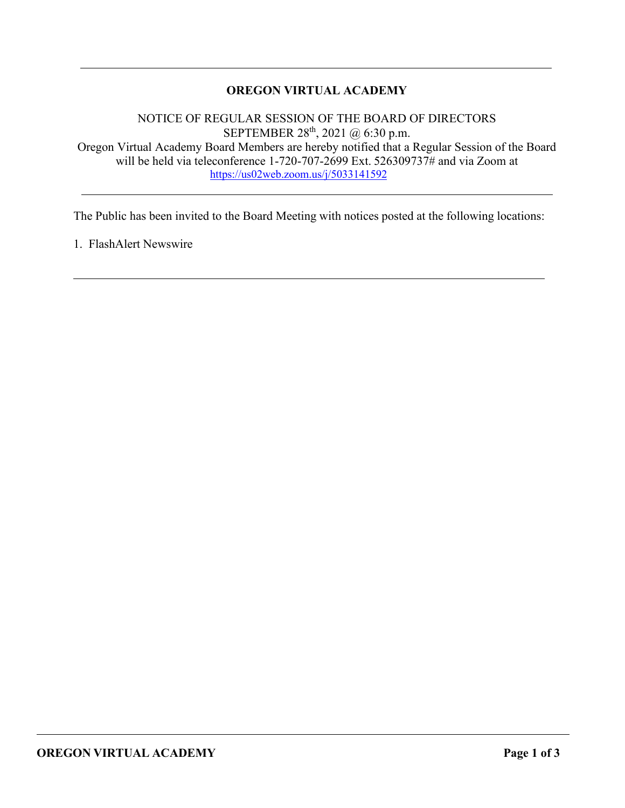# **OREGON VIRTUAL ACADEMY**

NOTICE OF REGULAR SESSION OF THE BOARD OF DIRECTORS SEPTEMBER 28<sup>th</sup>, 2021 @ 6:30 p.m. Oregon Virtual Academy Board Members are hereby notified that a Regular Session of the Board will be held via teleconference 1-720-707-2699 Ext. 526309737# and via Zoom at <https://us02web.zoom.us/j/5033141592>

The Public has been invited to the Board Meeting with notices posted at the following locations:

1. FlashAlert Newswire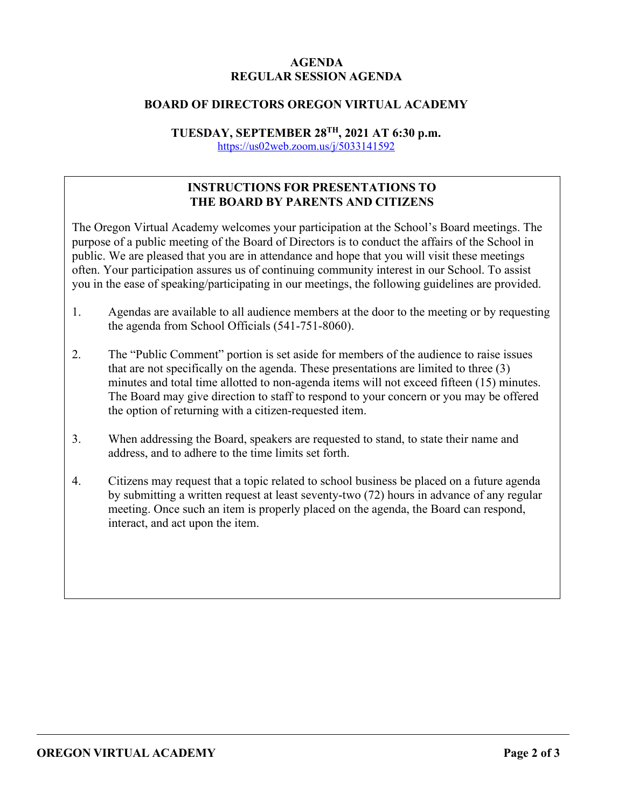# **AGENDA REGULAR SESSION AGENDA**

### **BOARD OF DIRECTORS OREGON VIRTUAL ACADEMY**

# **TUESDAY, SEPTEMBER 28TH, 2021 AT 6:30 p.m.**

<https://us02web.zoom.us/j/5033141592>

# **INSTRUCTIONS FOR PRESENTATIONS TO THE BOARD BY PARENTS AND CITIZENS**

The Oregon Virtual Academy welcomes your participation at the School's Board meetings. The purpose of a public meeting of the Board of Directors is to conduct the affairs of the School in public. We are pleased that you are in attendance and hope that you will visit these meetings often. Your participation assures us of continuing community interest in our School. To assist you in the ease of speaking/participating in our meetings, the following guidelines are provided.

- 1. Agendas are available to all audience members at the door to the meeting or by requesting the agenda from School Officials (541-751-8060).
- 2. The "Public Comment" portion is set aside for members of the audience to raise issues that are not specifically on the agenda. These presentations are limited to three (3) minutes and total time allotted to non-agenda items will not exceed fifteen (15) minutes. The Board may give direction to staff to respond to your concern or you may be offered the option of returning with a citizen-requested item.
- 3. When addressing the Board, speakers are requested to stand, to state their name and address, and to adhere to the time limits set forth.
- 4. Citizens may request that a topic related to school business be placed on a future agenda by submitting a written request at least seventy-two (72) hours in advance of any regular meeting. Once such an item is properly placed on the agenda, the Board can respond, interact, and act upon the item.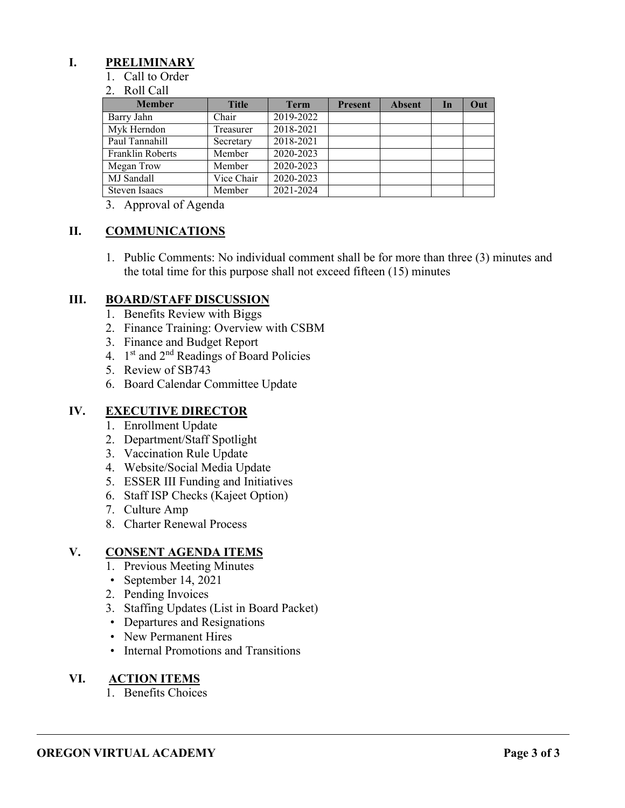# **I. PRELIMINARY**

1. Call to Order

#### 2. Roll Call

| <b>Member</b>        | <b>Title</b> | <b>Term</b> | <b>Present</b> | <b>Absent</b> | In | Out |
|----------------------|--------------|-------------|----------------|---------------|----|-----|
| Barry Jahn           | Chair        | 2019-2022   |                |               |    |     |
| Myk Herndon          | Treasurer    | 2018-2021   |                |               |    |     |
| Paul Tannahill       | Secretary    | 2018-2021   |                |               |    |     |
| Franklin Roberts     | Member       | 2020-2023   |                |               |    |     |
| Megan Trow           | Member       | 2020-2023   |                |               |    |     |
| MJ Sandall           | Vice Chair   | 2020-2023   |                |               |    |     |
| <b>Steven Isaacs</b> | Member       | 2021-2024   |                |               |    |     |

3. Approval of Agenda

## **II. COMMUNICATIONS**

1. Public Comments: No individual comment shall be for more than three (3) minutes and the total time for this purpose shall not exceed fifteen (15) minutes

## **III. BOARD/STAFF DISCUSSION**

- 1. Benefits Review with Biggs
- 2. Finance Training: Overview with CSBM
- 3. Finance and Budget Report
- 4.  $1<sup>st</sup>$  and  $2<sup>nd</sup>$  Readings of Board Policies
- 5. Review of SB743
- 6. Board Calendar Committee Update

# **IV. EXECUTIVE DIRECTOR**

- 1. Enrollment Update
- 2. Department/Staff Spotlight
- 3. Vaccination Rule Update
- 4. Website/Social Media Update
- 5. ESSER III Funding and Initiatives
- 6. Staff ISP Checks (Kajeet Option)
- 7. Culture Amp
- 8. Charter Renewal Process

### **V. CONSENT AGENDA ITEMS**

- 1. Previous Meeting Minutes
- September 14, 2021
- 2. Pending Invoices
- 3. Staffing Updates (List in Board Packet)
- Departures and Resignations
- New Permanent Hires
- Internal Promotions and Transitions

# **VI. ACTION ITEMS**

1. Benefits Choices